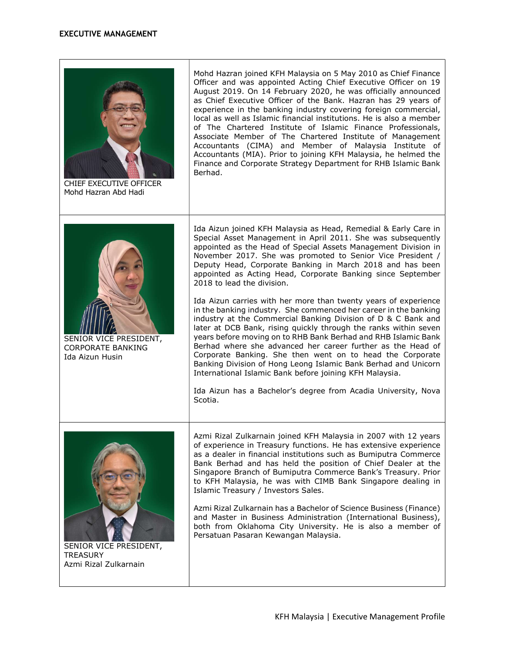## EXECUTIVE MANAGEMENT



CHIEF EXECUTIVE OFFICER Mohd Hazran Abd Hadi

Mohd Hazran joined KFH Malaysia on 5 May 2010 as Chief Finance Officer and was appointed Acting Chief Executive Officer on 19 August 2019. On 14 February 2020, he was officially announced as Chief Executive Officer of the Bank. Hazran has 29 years of experience in the banking industry covering foreign commercial, local as well as Islamic financial institutions. He is also a member of The Chartered Institute of Islamic Finance Professionals, Associate Member of The Chartered Institute of Management Accountants (CIMA) and Member of Malaysia Institute of Accountants (MIA). Prior to joining KFH Malaysia, he helmed the Finance and Corporate Strategy Department for RHB Islamic Bank Berhad.



SENIOR VICE PRESIDENT, CORPORATE BANKING Ida Aizun Husin

Ida Aizun joined KFH Malaysia as Head, Remedial & Early Care in Special Asset Management in April 2011. She was subsequently appointed as the Head of Special Assets Management Division in November 2017. She was promoted to Senior Vice President / Deputy Head, Corporate Banking in March 2018 and has been appointed as Acting Head, Corporate Banking since September 2018 to lead the division.

Ida Aizun carries with her more than twenty years of experience in the banking industry. She commenced her career in the banking industry at the Commercial Banking Division of D & C Bank and later at DCB Bank, rising quickly through the ranks within seven years before moving on to RHB Bank Berhad and RHB Islamic Bank Berhad where she advanced her career further as the Head of Corporate Banking. She then went on to head the Corporate Banking Division of Hong Leong Islamic Bank Berhad and Unicorn International Islamic Bank before joining KFH Malaysia.

Ida Aizun has a Bachelor's degree from Acadia University, Nova Scotia.



SENIOR VICE PRESIDENT, **TREASURY** Azmi Rizal Zulkarnain

Azmi Rizal Zulkarnain joined KFH Malaysia in 2007 with 12 years of experience in Treasury functions. He has extensive experience as a dealer in financial institutions such as Bumiputra Commerce Bank Berhad and has held the position of Chief Dealer at the Singapore Branch of Bumiputra Commerce Bank's Treasury. Prior to KFH Malaysia, he was with CIMB Bank Singapore dealing in Islamic Treasury / Investors Sales.

Azmi Rizal Zulkarnain has a Bachelor of Science Business (Finance) and Master in Business Administration (International Business), both from Oklahoma City University. He is also a member of Persatuan Pasaran Kewangan Malaysia.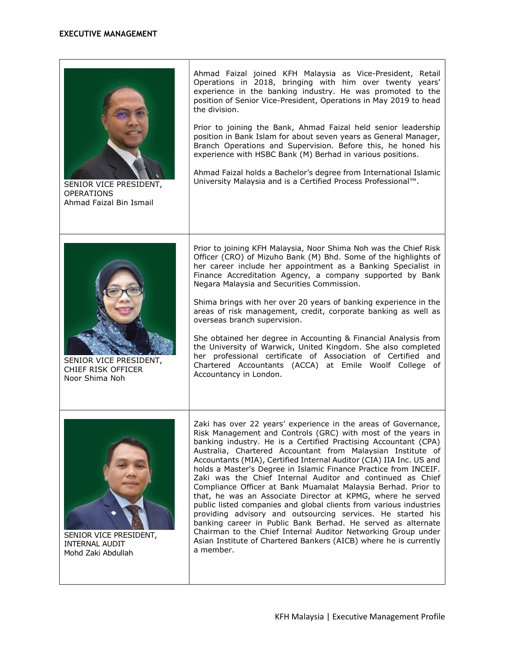| SENIOR VICE PRESIDENT,<br><b>OPERATIONS</b><br>Ahmad Faizal Bin Ismail | Ahmad Faizal joined KFH Malaysia as Vice-President, Retail<br>Operations in 2018, bringing with him over twenty years'<br>experience in the banking industry. He was promoted to the<br>position of Senior Vice-President, Operations in May 2019 to head<br>the division.<br>Prior to joining the Bank, Ahmad Faizal held senior leadership<br>position in Bank Islam for about seven years as General Manager,<br>Branch Operations and Supervision. Before this, he honed his<br>experience with HSBC Bank (M) Berhad in various positions.<br>Ahmad Faizal holds a Bachelor's degree from International Islamic<br>University Malaysia and is a Certified Process Professional™.                                                                                                                                                                                                                                                                              |
|------------------------------------------------------------------------|-------------------------------------------------------------------------------------------------------------------------------------------------------------------------------------------------------------------------------------------------------------------------------------------------------------------------------------------------------------------------------------------------------------------------------------------------------------------------------------------------------------------------------------------------------------------------------------------------------------------------------------------------------------------------------------------------------------------------------------------------------------------------------------------------------------------------------------------------------------------------------------------------------------------------------------------------------------------|
| SENIOR VICE PRESIDENT,<br>CHIEF RISK OFFICER<br>Noor Shima Noh         | Prior to joining KFH Malaysia, Noor Shima Noh was the Chief Risk<br>Officer (CRO) of Mizuho Bank (M) Bhd. Some of the highlights of<br>her career include her appointment as a Banking Specialist in<br>Finance Accreditation Agency, a company supported by Bank<br>Negara Malaysia and Securities Commission.<br>Shima brings with her over 20 years of banking experience in the<br>areas of risk management, credit, corporate banking as well as<br>overseas branch supervision.<br>She obtained her degree in Accounting & Financial Analysis from<br>the University of Warwick, United Kingdom. She also completed<br>her professional certificate of Association of Certified and<br>Chartered Accountants (ACCA) at Emile Woolf College of<br>Accountancy in London.                                                                                                                                                                                     |
| SENIOR VICE PRESIDENT,<br><b>INTERNAL AUDIT</b><br>Mohd Zaki Abdullah  | Zaki has over 22 years' experience in the areas of Governance,<br>Risk Management and Controls (GRC) with most of the years in<br>banking industry. He is a Certified Practising Accountant (CPA)<br>Australia, Chartered Accountant from Malaysian Institute of<br>Accountants (MIA), Certified Internal Auditor (CIA) IIA Inc. US and<br>holds a Master's Degree in Islamic Finance Practice from INCEIF.<br>Zaki was the Chief Internal Auditor and continued as Chief<br>Compliance Officer at Bank Muamalat Malaysia Berhad. Prior to<br>that, he was an Associate Director at KPMG, where he served<br>public listed companies and global clients from various industries<br>providing advisory and outsourcing services. He started his<br>banking career in Public Bank Berhad. He served as alternate<br>Chairman to the Chief Internal Auditor Networking Group under<br>Asian Institute of Chartered Bankers (AICB) where he is currently<br>a member. |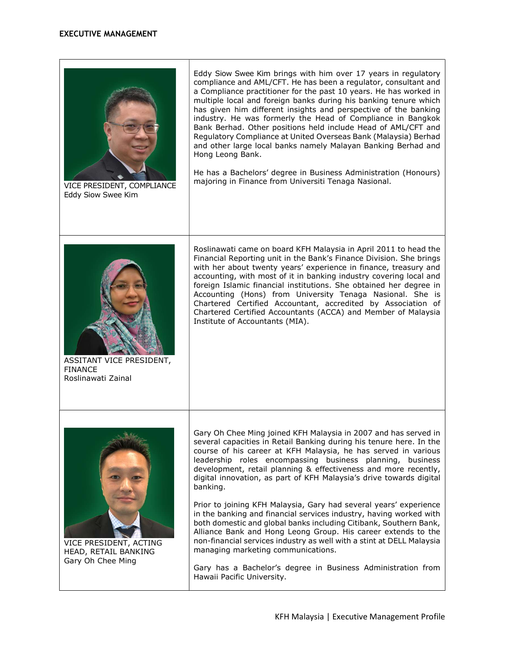

VICE PRESIDENT, ACTING HEAD, RETAIL BANKING Gary Oh Chee Ming

Prior to joining KFH Malaysia, Gary had several years' experience in the banking and financial services industry, having worked with both domestic and global banks including Citibank, Southern Bank, Alliance Bank and Hong Leong Group. His career extends to the non-financial services industry as well with a stint at DELL Malaysia managing marketing communications.

Gary has a Bachelor's degree in Business Administration from Hawaii Pacific University.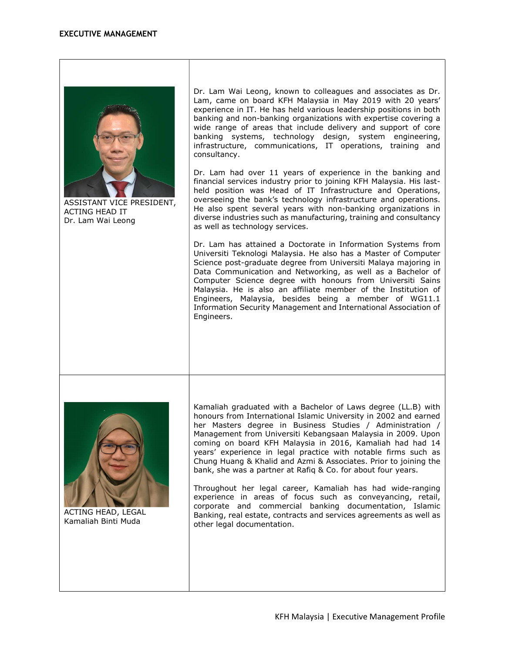

ASSISTANT VICE PRESIDENT, ACTING HEAD IT Dr. Lam Wai Leong

Dr. Lam Wai Leong, known to colleagues and associates as Dr. Lam, came on board KFH Malaysia in May 2019 with 20 years' experience in IT. He has held various leadership positions in both banking and non-banking organizations with expertise covering a wide range of areas that include delivery and support of core banking systems, technology design, system engineering, infrastructure, communications, IT operations, training and consultancy.

Dr. Lam had over 11 years of experience in the banking and financial services industry prior to joining KFH Malaysia. His lastheld position was Head of IT Infrastructure and Operations, overseeing the bank's technology infrastructure and operations. He also spent several years with non-banking organizations in diverse industries such as manufacturing, training and consultancy as well as technology services.

Dr. Lam has attained a Doctorate in Information Systems from Universiti Teknologi Malaysia. He also has a Master of Computer Science post-graduate degree from Universiti Malaya majoring in Data Communication and Networking, as well as a Bachelor of Computer Science degree with honours from Universiti Sains Malaysia. He is also an affiliate member of the Institution of Engineers, Malaysia, besides being a member of WG11.1 Information Security Management and International Association of Engineers.



ACTING HEAD, LEGAL Kamaliah Binti Muda

Kamaliah graduated with a Bachelor of Laws degree (LL.B) with honours from International Islamic University in 2002 and earned her Masters degree in Business Studies / Administration / Management from Universiti Kebangsaan Malaysia in 2009. Upon coming on board KFH Malaysia in 2016, Kamaliah had had 14 years' experience in legal practice with notable firms such as Chung Huang & Khalid and Azmi & Associates. Prior to joining the bank, she was a partner at Rafiq & Co. for about four years.

Throughout her legal career, Kamaliah has had wide-ranging experience in areas of focus such as conveyancing, retail, corporate and commercial banking documentation, Islamic Banking, real estate, contracts and services agreements as well as other legal documentation.